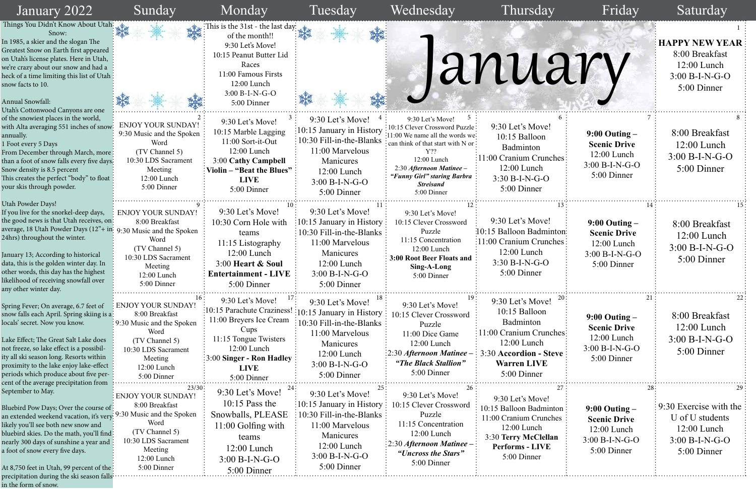| January 2022                                                                                                                                                                                                                                                                                                                                                                                              | Sunday                                                                                                                                                                      | Monday                                                                                                                                                                                             | Tuesday                                                                                                                                                                                             | Wednesday                                                                                                                                                                                                                                                                     | Thursday                                                                                                                                                 | Friday                                                                                       | Saturday                                                                                      |
|-----------------------------------------------------------------------------------------------------------------------------------------------------------------------------------------------------------------------------------------------------------------------------------------------------------------------------------------------------------------------------------------------------------|-----------------------------------------------------------------------------------------------------------------------------------------------------------------------------|----------------------------------------------------------------------------------------------------------------------------------------------------------------------------------------------------|-----------------------------------------------------------------------------------------------------------------------------------------------------------------------------------------------------|-------------------------------------------------------------------------------------------------------------------------------------------------------------------------------------------------------------------------------------------------------------------------------|----------------------------------------------------------------------------------------------------------------------------------------------------------|----------------------------------------------------------------------------------------------|-----------------------------------------------------------------------------------------------|
| Things You Didn't Know About Utah:<br>Snow:<br>In 1985, a skier and the slogan The<br>Greatest Snow on Earth first appeared<br>on Utah's license plates. Here in Utah,<br>we're crazy about our snow and had a<br>heck of a time limiting this list of Utah ?<br>snow facts to 10.<br><b>Annual Snowfall:</b><br>Utah's Cottonwood Canyons are one                                                        |                                                                                                                                                                             | This is the 31st - the last day:<br>of the month!!<br>9:30 Let's Move!<br>10:15 Peanut Butter Lid<br>Races<br>11:00 Famous Firsts<br>12:00 Lunch<br>$3:00 B-I-N-G-O$<br>5:00 Dinner                |                                                                                                                                                                                                     |                                                                                                                                                                                                                                                                               | January                                                                                                                                                  |                                                                                              | <b>HAPPY NEW YEAR</b><br>8:00 Breakfast<br>$12:00$ Lunch<br>$3:00 B-I-N-G-O$<br>5:00 Dinner   |
| of the snowiest places in the world,<br>with Alta averaging 551 inches of snow!<br>annually.<br>1 Foot every 5 Days<br>From December through March, more:<br>than a foot of snow falls every five days:<br>Snow density is 8.5 percent<br>This creates the perfect "body" to float<br>your skis through powder.                                                                                           | <b>ENJOY YOUR SUNDAY!</b><br>9:30 Music and the Spoken<br>Word<br>(TV Channel 5)<br>10:30 LDS Sacrament<br>Meeting<br>$12:00$ Lunch<br>5:00 Dinner                          | 9:30 Let's Move!<br>10:15 Marble Lagging<br>11:00 Sort-it-Out<br>12:00 Lunch<br>3:00 Cathy Campbell<br>Violin – "Beat the Blues"<br><b>LIVE</b><br>5:00 Dinner                                     | 9:30 Let's Move!<br>10:15 January in History<br>10:30 Fill-in-the-Blanks<br>11:00 Marvelous<br>Manicures<br>12:00 Lunch<br>$3:00 B-I-N-G-O$<br>5:00 Dinner                                          | 9:30 Let's Move!<br>10:15 Clever Crossword Puzzle:<br>11:00 We name all the words we:<br>$\frac{1}{2}$ can think of that start with N or $\frac{1}{2}$<br>$Y$ ??<br>12:00 Lunch<br>2:30 Afternoon Matinee -<br>"Funny Girl" staring Barbra<br><b>Streisand</b><br>5:00 Dinner | 9:30 Let's Move!<br>10:15 Balloon<br>Badminton<br>11:00 Cranium Crunches:<br>$12:00$ Lunch<br>$3:30 B-I-N-G-O$<br>5:00 Dinner                            | $9:00$ Outing $-$<br><b>Scenic Drive</b><br>$12:00$ Lunch<br>$3:00 B-I-N-G-O$<br>5:00 Dinner | 8:00 Breakfast<br>$12:00$ Lunch<br>$3:00 B-I-N-G-O$<br>5:00 Dinner                            |
| Utah Powder Days!<br>If you live for the snorkel-deep days,<br>the good news is that Utah receives, on!<br>average, 18 Utah Powder Days (12"+ in: 9:30 Music and the Spoken<br>24hrs) throughout the winter.<br>January 13; According to historical<br>data, this is the golden winter day. In<br>other words, this day has the highest<br>likelihood of receiving snowfall over<br>any other winter day. | <b>ENJOY YOUR SUNDAY!</b><br>8:00 Breakfast<br>Word<br>(TV Channel 5)<br>10:30 LDS Sacrament<br>Meeting<br>$12:00$ Lunch<br>5:00 Dinner                                     | 9:30 Let's Move!<br>10:30 Corn Hole with<br>teams<br>11:15 Listography<br>$12:00$ Lunch<br>3:00 Heart & Soul<br><b>Entertainment - LIVE</b><br>5:00 Dinner                                         | 9:30 Let's Move!<br>$\frac{1}{2}10:15$ January in History<br>$\frac{1}{2}$ 10:30 Fill-in-the-Blanks $\frac{1}{2}$<br>11:00 Marvelous<br>Manicures<br>12:00 Lunch<br>$3:00 B-I-N-G-O$<br>5:00 Dinner | 9:30 Let's Move!<br>10:15 Clever Crossword<br>Puzzle<br>11:15 Concentration<br>12:00 Lunch<br>3:00 Root Beer Floats and<br>Sing-A-Long<br>5:00 Dinner                                                                                                                         | 9:30 Let's Move!<br>:10:15 Balloon Badminton:<br>$\frac{1}{2}11:00$ Cranium Crunches:<br>$12:00$ Lunch<br>$3:30 B-I-N-G-O$<br>5:00 Dinner                | $9:00$ Outing $-$<br><b>Scenic Drive</b><br>$12:00$ Lunch<br>$3:00 B-I-N-G-O$<br>5:00 Dinner | 8:00 Breakfast<br>$12:00$ Lunch<br>$3:00 B-I-N-G-O$<br>5:00 Dinner                            |
| Spring Fever; On average, 6.7 feet of<br>snow falls each April. Spring skiing is a:<br>locals' secret. Now you know.<br>Lake Effect; The Great Salt Lake does<br>not freeze, so lake effect is a possibil-<br>ity all ski season long. Resorts within<br>proximity to the lake enjoy lake-effect<br>periods which produce about five per-<br>cent of the average precipitation from                       | 16:<br><b>ENJOY YOUR SUNDAY</b><br>8:00 Breakfast<br>: 9:30 Music and the Spoken<br>Word<br>(TV Channel 5)<br>10:30 LDS Sacrament<br>Meeting<br>12:00 Lunch<br>5:00 Dinner  | 9:30 Let's Move!<br>10:15 Parachute Craziness!<br>11:00 Breyers Ice Cream<br>Cups<br>11:15 Tongue Twisters<br>$12:00$ Lunch<br>$\frac{1}{2}3.00$ Singer - Ron Hadley<br><b>LIVE</b><br>5:00 Dinner | 9:30 Let's Move!<br>:10:15 January in History<br>10:30 Fill-in-the-Blanks<br>11:00 Marvelous<br>Manicures<br>$12:00$ Lunch<br>3:00 B-I-N-G-O<br>5:00 Dinner                                         | 9:30 Let's Move!<br>10:15 Clever Crossword<br>Puzzle<br>11:00 Dice Game<br>12:00 Lunch<br>$\frac{1}{2}$ :30 Afternoon Matinee<br>"The Black Stallion"<br>5:00 Dinner                                                                                                          | 9:30 Let's Move!<br>10:15 Balloon<br>Badminton<br>1:00 Cranium Crunches:<br>$12:00$ Lunch<br>3:30 Accordion - Steve<br><b>Warren LIVE</b><br>5:00 Dinner | $9:00$ Outing $-$<br><b>Scenic Drive</b><br>$12:00$ Lunch<br>3:00 B-I-N-G-O<br>5:00 Dinner   | 8:00 Breakfast<br>$12:00$ Lunch<br>$3:00 B-I-N-G-O$<br>5:00 Dinner                            |
| September to May.<br>Bluebird Pow Days; Over the course of:<br>an extended weekend vacation, it's very-<br>likely you'll see both new snow and<br>bluebird skies. Do the math, you'll find:<br>nearly 300 days of sunshine a year and<br>a foot of snow every five days.<br>At 8,750 feet in Utah, 99 percent of the :<br>precipitation during the ski season falls <sup>:</sup><br>in the form of snow.  | 23/30<br><b>ENJOY YOUR SUNDAY!</b><br>8:00 Breakfast<br>9:30 Music and the Spoken<br>Word<br>(TV Channel 5)<br>10:30 LDS Sacrament<br>Meeting<br>12:00 Lunch<br>5:00 Dinner | 9:30 Let's Move!<br>$10:15$ Pass the<br>Snowballs, PLEASE<br>$11:00$ Golfing with<br>teams<br>12:00 Lunch<br>$3:00 B-I-N-G-O$<br>5:00 Dinner                                                       | 9:30 Let's Move!<br>10:15 January in History<br>10:30 Fill-in-the-Blanks:<br>11:00 Marvelous<br>Manicures<br>12:00 Lunch<br>3:00 B-I-N-G-O<br>5:00 Dinner                                           | 9:30 Let's Move!<br>10:15 Clever Crossword<br>Puzzle<br>11:15 Concentration<br>$12:00$ Lunch<br>$\frac{1}{2}$ :30 Afternoon Matinee -<br>"Uncross the Stars"<br>5:00 Dinner                                                                                                   | 9:30 Let's Move!<br>10:15 Balloon Badminton<br>1:00 Cranium Crunches<br>12:00 Lunch<br>3:30 Terry McClellan<br><b>Performs - LIVE</b><br>5:00 Dinner     | $9:00$ Outing $-$<br><b>Scenic Drive</b><br>12:00 Lunch<br>$3:00 B-I-N-G-O$<br>5:00 Dinner   | 9:30 Exercise with the<br>U of U students<br>$12:00$ Lunch<br>$3:00 B-I-N-G-O$<br>5:00 Dinner |